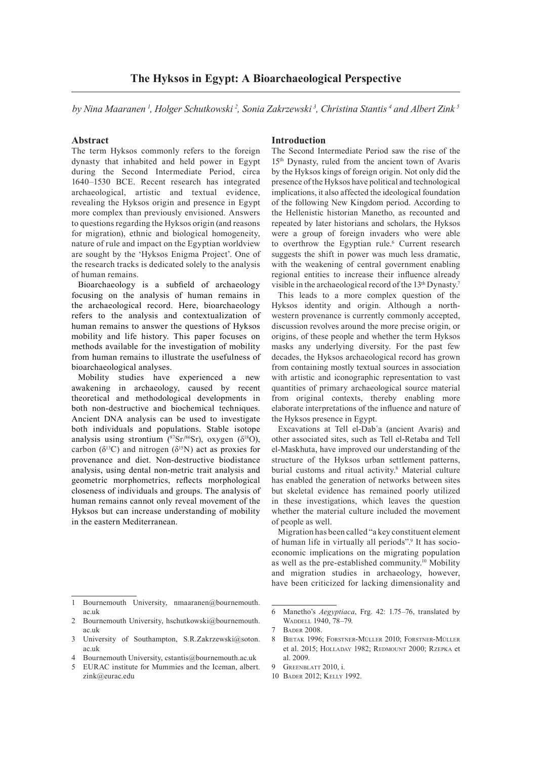by Nina Maaranen <sup>1</sup>, Holger Schutkowski <sup>2</sup>, Sonia Zakrzewski <sup>3</sup>, Christina Stantis <sup>4</sup> and Albert Zink <sup>3</sup>

## **Abstract**

The term Hyksos commonly refers to the foreign dynasty that inhabited and held power in Egypt during the Second Intermediate Period, circa 1640–1530 BCE. Recent research has integrated archaeological, artistic and textual evidence, revealing the Hyksos origin and presence in Egypt more complex than previously envisioned. Answers to questions regarding the Hyksos origin (and reasons for migration), ethnic and biological homogeneity, nature of rule and impact on the Egyptian worldview are sought by the 'Hyksos Enigma Project'. One of the research tracks is dedicated solely to the analysis of human remains.

Bioarchaeology is a subfield of archaeology focusing on the analysis of human remains in the archaeological record. Here, bioarchaeology refers to the analysis and contextualization of human remains to answer the questions of Hyksos mobility and life history. This paper focuses on methods available for the investigation of mobility from human remains to illustrate the usefulness of bioarchaeological analyses.

Mobility studies have experienced a new awakening in archaeology, caused by recent theoretical and methodological developments in both non-destructive and biochemical techniques. Ancient DNA analysis can be used to investigate both individuals and populations. Stable isotope analysis using strontium ( $87\text{Sr}/86\text{Sr}$ ), oxygen ( $\delta^{18}$ O), carbon ( $\delta^{13}$ C) and nitrogen ( $\delta^{15}$ N) act as proxies for provenance and diet. Non-destructive biodistance analysis, using dental non-metric trait analysis and geometric morphometrics, reflects morphological closeness of individuals and groups. The analysis of human remains cannot only reveal movement of the Hyksos but can increase understanding of mobility in the eastern Mediterranean.

# **Introduction**

The Second Intermediate Period saw the rise of the 15th Dynasty, ruled from the ancient town of Avaris by the Hyksos kings of foreign origin. Not only did the presence of the Hyksos have political and technological implications, it also affected the ideological foundation of the following New Kingdom period. According to the Hellenistic historian Manetho, as recounted and repeated by later historians and scholars, the Hyksos were a group of foreign invaders who were able to overthrow the Egyptian rule.<sup>6</sup> Current research suggests the shift in power was much less dramatic, with the weakening of central government enabling regional entities to increase their influence already visible in the archaeological record of the 13<sup>th</sup> Dynasty.<sup>7</sup>

This leads to a more complex question of the Hyksos identity and origin. Although a northwestern provenance is currently commonly accepted, discussion revolves around the more precise origin, or origins, of these people and whether the term Hyksos masks any underlying diversity. For the past few decades, the Hyksos archaeological record has grown from containing mostly textual sources in association with artistic and iconographic representation to vast quantities of primary archaeological source material from original contexts, thereby enabling more elaborate interpretations of the influence and nature of the Hyksos presence in Egypt.

Excavations at Tell el-Dabʿa (ancient Avaris) and other associated sites, such as Tell el-Retaba and Tell el-Maskhuta, have improved our understanding of the structure of the Hyksos urban settlement patterns, burial customs and ritual activity.<sup>8</sup> Material culture has enabled the generation of networks between sites but skeletal evidence has remained poorly utilized in these investigations, which leaves the question whether the material culture included the movement of people as well.

Migration has been called "a key constituent element of human life in virtually all periods".<sup>9</sup> It has socioeconomic implications on the migrating population as well as the pre-established community.<sup>10</sup> Mobility and migration studies in archaeology, however, have been criticized for lacking dimensionality and

10 Bader 2012; Kelly 1992.

Bournemouth University, nmaaranen@bournemouth. ac.uk

<sup>2</sup> Bournemouth University, hschutkowski@bournemouth. ac.uk

<sup>3</sup> University of Southampton, S.R.Zakrzewski@soton. ac.uk

<sup>4</sup> Bournemouth University, cstantis@bournemouth.ac.uk<br>5 FURAC institute for Mummies and the Iceman, albert

<sup>5</sup> EURAC institute for Mummies and the Iceman, albert. zink@eurac.edu

<sup>6</sup> Manetho's *Aegyptiaca*, Frg. 42: 1.75–76, translated by WADDELL 1940, 78-79.

<sup>7</sup> Bader 2008.

<sup>8</sup> Bietak 1996; Forstner-Müller 2010; Forstner-Müller et al. 2015; HOLLADAY 1982; REDMOUNT 2000; RZEPKA et al. 2009.

<sup>9</sup> Greenblatt 2010, i.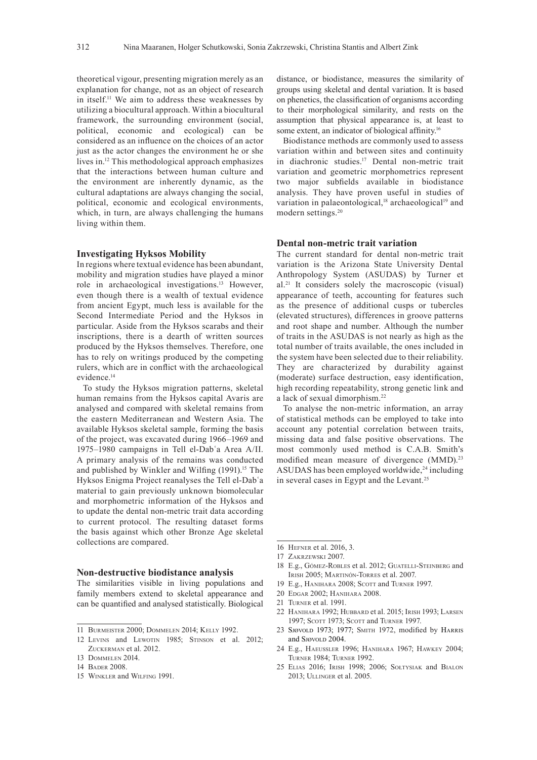theoretical vigour, presenting migration merely as an explanation for change, not as an object of research in itself.11 We aim to address these weaknesses by utilizing a biocultural approach. Within a biocultural framework, the surrounding environment (social, political, economic and ecological) can be considered as an influence on the choices of an actor just as the actor changes the environment he or she lives in.12 This methodological approach emphasizes that the interactions between human culture and the environment are inherently dynamic, as the cultural adaptations are always changing the social, political, economic and ecological environments, which, in turn, are always challenging the humans living within them.

## **Investigating Hyksos Mobility**

In regions where textual evidence has been abundant, mobility and migration studies have played a minor role in archaeological investigations.13 However, even though there is a wealth of textual evidence from ancient Egypt, much less is available for the Second Intermediate Period and the Hyksos in particular. Aside from the Hyksos scarabs and their inscriptions, there is a dearth of written sources produced by the Hyksos themselves. Therefore, one has to rely on writings produced by the competing rulers, which are in conflict with the archaeological evidence<sup>14</sup>

To study the Hyksos migration patterns, skeletal human remains from the Hyksos capital Avaris are analysed and compared with skeletal remains from the eastern Mediterranean and Western Asia. The available Hyksos skeletal sample, forming the basis of the project, was excavated during 1966–1969 and 1975–1980 campaigns in Tell el-Dabʿa Area A/II. A primary analysis of the remains was conducted and published by Winkler and Wilfing  $(1991)$ <sup>15</sup> The Hyksos Enigma Project reanalyses the Tell el-Dabʿa material to gain previously unknown biomolecular and morphometric information of the Hyksos and to update the dental non-metric trait data according to current protocol. The resulting dataset forms the basis against which other Bronze Age skeletal collections are compared.

### **Non-destructive biodistance analysis**

The similarities visible in living populations and family members extend to skeletal appearance and can be quantified and analysed statistically. Biological

distance, or biodistance, measures the similarity of groups using skeletal and dental variation. It is based on phenetics, the classification of organisms according to their morphological similarity, and rests on the assumption that physical appearance is, at least to some extent, an indicator of biological affinity.<sup>16</sup>

Biodistance methods are commonly used to assess variation within and between sites and continuity in diachronic studies.17 Dental non-metric trait variation and geometric morphometrics represent two major subfields available in biodistance analysis. They have proven useful in studies of variation in palaeontological,<sup>18</sup> archaeological<sup>19</sup> and modern settings.20

## **Dental non-metric trait variation**

The current standard for dental non-metric trait variation is the Arizona State University Dental Anthropology System (ASUDAS) by Turner et al.21 It considers solely the macroscopic (visual) appearance of teeth, accounting for features such as the presence of additional cusps or tubercles (elevated structures), differences in groove patterns and root shape and number. Although the number of traits in the ASUDAS is not nearly as high as the total number of traits available, the ones included in the system have been selected due to their reliability. They are characterized by durability against (moderate) surface destruction, easy identification, high recording repeatability, strong genetic link and a lack of sexual dimorphism.22

To analyse the non-metric information, an array of statistical methods can be employed to take into account any potential correlation between traits, missing data and false positive observations. The most commonly used method is C.A.B. Smith's modified mean measure of divergence (MMD).<sup>23</sup> ASUDAS has been employed worldwide, $24$  including in several cases in Egypt and the Levant.25

- 18 E.g., Gómez-Robles et al. 2012; Guatelli-Steinberg and Irish 2005; Martinón-Torres et al. 2007.
- 19 E.g., Hanihara 2008; Scott and Turner 1997.
- 20 Edgar 2002; Hanihara 2008.
- 21 Turner et al. 1991.
- 22 Hanihara 1992; Hubbard et al. 2015; Irish 1993; Larsen 1997; SCOTT 1973; SCOTT and TURNER 1997.
- 23 Sjøvold 1973; 1977; Smith 1972, modified by Harris and SJØVOLD 2004.
- 24 E.g., Haeussler 1996; Hanihara 1967; Hawkey 2004; Turner 1984; Turner 1992.
- 25 Elias 2016; Irish 1998; 2006; Sołtysiak and Bialon 2013; Ullinger et al. 2005.

<sup>11</sup> Burmeister 2000; Dommelen 2014; Kelly 1992.

<sup>12</sup> Levins and Lewotin 1985; Stinson et al. 2012; ZUCKERMAN et al. 2012.

<sup>13</sup> Dommelen 2014.

<sup>14</sup> Bader 2008.

<sup>15</sup> Winkler and Wilfing 1991.

<sup>16</sup> Hefner et al. 2016, 3.

<sup>17</sup> Zakrzewski 2007.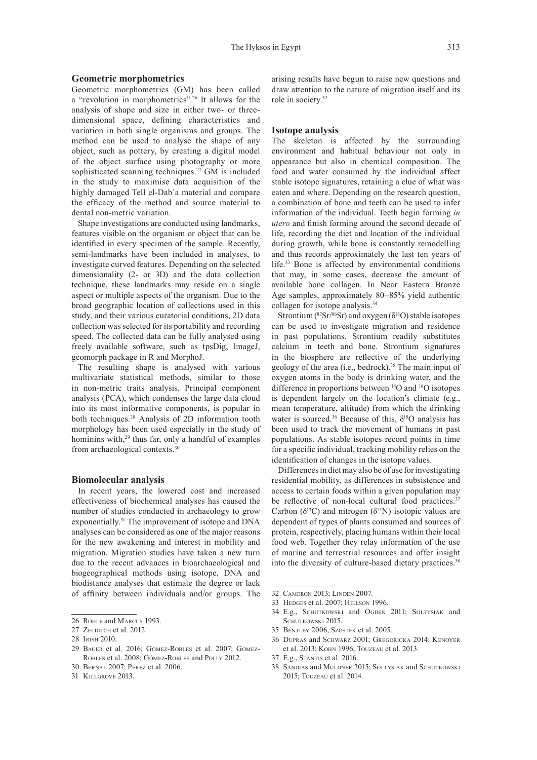## **Geometric morphometrics**

Geometric morphometrics (GM) has been called a "revolution in morphometrics".26 It allows for the analysis of shape and size in either two- or threedimensional space, defining characteristics and variation in both single organisms and groups. The method can be used to analyse the shape of any object, such as pottery, by creating a digital model of the object surface using photography or more sophisticated scanning techniques.<sup>27</sup> GM is included in the study to maximise data acquisition of the highly damaged Tell el-Dabʿa material and compare the efficacy of the method and source material to dental non-metric variation.

Shape investigations are conducted using landmarks, features visible on the organism or object that can be identified in every specimen of the sample. Recently, semi-landmarks have been included in analyses, to investigate curved features. Depending on the selected dimensionality (2- or 3D) and the data collection technique, these landmarks may reside on a single aspect or multiple aspects of the organism. Due to the broad geographic location of collections used in this study, and their various curatorial conditions, 2D data collection was selected for its portability and recording speed. The collected data can be fully analysed using freely available software, such as tpsDig, ImageJ, geomorph package in R and MorphoJ.

The resulting shape is analysed with various multivariate statistical methods, similar to those in non-metric traits analysis. Principal component analysis (PCA), which condenses the large data cloud into its most informative components, is popular in both techniques.28 Analysis of 2D information tooth morphology has been used especially in the study of hominins with,<sup>29</sup> thus far, only a handful of examples from archaeological contexts.30

#### **Biomolecular analysis**

In recent years, the lowered cost and increased effectiveness of biochemical analyses has caused the number of studies conducted in archaeology to grow exponentially.31 The improvement of isotope and DNA analyses can be considered as one of the major reasons for the new awakening and interest in mobility and migration. Migration studies have taken a new turn due to the recent advances in bioarchaeological and biogeographical methods using isotope, DNA and biodistance analyses that estimate the degree or lack of affinity between individuals and/or groups. The arising results have begun to raise new questions and draw attention to the nature of migration itself and its role in society.32

## **Isotope analysis**

The skeleton is affected by the surrounding environment and habitual behaviour not only in appearance but also in chemical composition. The food and water consumed by the individual affect stable isotope signatures, retaining a clue of what was eaten and where. Depending on the research question, a combination of bone and teeth can be used to infer information of the individual. Teeth begin forming *in utero* and finish forming around the second decade of life, recording the diet and location of the individual during growth, while bone is constantly remodelling and thus records approximately the last ten years of life.33 Bone is affected by environmental conditions that may, in some cases, decrease the amount of available bone collagen. In Near Eastern Bronze Age samples, approximately 80–85% yield authentic collagen for isotope analysis.<sup>34</sup>

Strontium ( $87Sr/86Sr$ ) and oxygen ( $\delta^{18}O$ ) stable isotopes can be used to investigate migration and residence in past populations. Strontium readily substitutes calcium in teeth and bone. Strontium signatures in the biosphere are reflective of the underlying geology of the area (i.e., bedrock).35 The main input of oxygen atoms in the body is drinking water, and the difference in proportions between <sup>18</sup>O and <sup>16</sup>O isotopes is dependent largely on the location's climate (e.g., mean temperature, altitude) from which the drinking water is sourced.<sup>36</sup> Because of this,  $\delta^{18}O$  analysis has been used to track the movement of humans in past populations. As stable isotopes record points in time for a specific individual, tracking mobility relies on the identification of changes in the isotope values.

Differences in diet may also be of use for investigating residential mobility, as differences in subsistence and access to certain foods within a given population may be reflective of non-local cultural food practices.<sup>37</sup> Carbon ( $\delta^{13}$ C) and nitrogen ( $\delta^{15}$ N) isotopic values are dependent of types of plants consumed and sources of protein, respectively, placing humans within their local food web. Together they relay information of the use of marine and terrestrial resources and offer insight into the diversity of culture-based dietary practices.<sup>38</sup>

- 33 Hedges et al. 2007; Hillson 1996.
- 34 E.g., Schutkowski and Ogden 2011; Sołtysiak and SCHUTKOWSKI 2015.
- 35 Bentley 2006, Szostek et al. 2005.
- 36 Dupras and Schwarz 2001; Gregoricka 2014; Kenoyer et al. 2013; Kohn 1996; Touzeau et al. 2013.
- 37 E.g., Stantis et al. 2016.
- 38 Sandias and Müldner 2015; Sołtysiak and Schutkowski 2015; Touzeau et al. 2014.

<sup>26</sup> ROHLF and MARCUS 1993.

<sup>27</sup> ZELDITCH et al. 2012.

<sup>28</sup> Irish 2010.

<sup>29</sup> Bauer et al. 2016; Gómez-Robles et al. 2007; Gómez-Robles et al. 2008; Gómez-Robles and Polly 2012.

<sup>30</sup> Bernal 2007; Perez et al. 2006.

<sup>31</sup> Killgrove 2013.

<sup>32</sup> Cameron 2013; Linden 2007.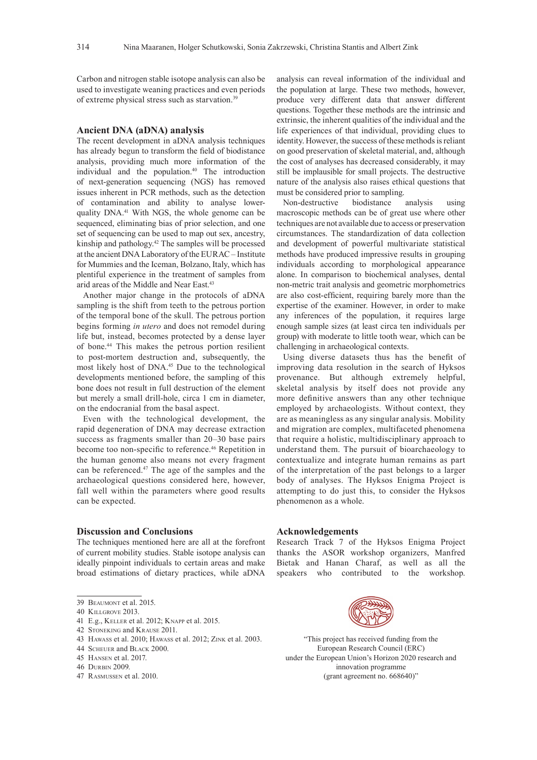Carbon and nitrogen stable isotope analysis can also be used to investigate weaning practices and even periods of extreme physical stress such as starvation.39

## **Ancient DNA (aDNA) analysis**

The recent development in aDNA analysis techniques has already begun to transform the field of biodistance analysis, providing much more information of the individual and the population.<sup>40</sup> The introduction of next-generation sequencing (NGS) has removed issues inherent in PCR methods, such as the detection of contamination and ability to analyse lowerquality DNA.41 With NGS, the whole genome can be sequenced, eliminating bias of prior selection, and one set of sequencing can be used to map out sex, ancestry, kinship and pathology.<sup>42</sup> The samples will be processed at the ancient DNA Laboratory of the EURAC – Institute for Mummies and the Iceman, Bolzano, Italy, which has plentiful experience in the treatment of samples from arid areas of the Middle and Near East.43

Another major change in the protocols of aDNA sampling is the shift from teeth to the petrous portion of the temporal bone of the skull. The petrous portion begins forming *in utero* and does not remodel during life but, instead, becomes protected by a dense layer of bone.44 This makes the petrous portion resilient to post-mortem destruction and, subsequently, the most likely host of DNA.<sup>45</sup> Due to the technological developments mentioned before, the sampling of this bone does not result in full destruction of the element but merely a small drill-hole, circa 1 cm in diameter, on the endocranial from the basal aspect.

Even with the technological development, the rapid degeneration of DNA may decrease extraction success as fragments smaller than 20–30 base pairs become too non-specific to reference.<sup>46</sup> Repetition in the human genome also means not every fragment can be referenced.47 The age of the samples and the archaeological questions considered here, however, fall well within the parameters where good results can be expected.

### **Discussion and Conclusions**

The techniques mentioned here are all at the forefront of current mobility studies. Stable isotope analysis can ideally pinpoint individuals to certain areas and make broad estimations of dietary practices, while aDNA

- 40 Killgrove 2013.
- 41 E.g., Keller et al. 2012; Knapp et al. 2015.
- 42 Stoneking and Krause 2011.
- 43 Hawass et al. 2010; Hawass et al. 2012; Zink et al. 2003.
- 44 Scheuer and Black 2000.
- 45 Hansen et al. 2017.
- 46 Durbin 2009.
- 47 Rasmussen et al. 2010.

analysis can reveal information of the individual and the population at large. These two methods, however, produce very different data that answer different questions. Together these methods are the intrinsic and extrinsic, the inherent qualities of the individual and the life experiences of that individual, providing clues to identity. However, the success of these methods is reliant on good preservation of skeletal material, and, although the cost of analyses has decreased considerably, it may still be implausible for small projects. The destructive nature of the analysis also raises ethical questions that must be considered prior to sampling.<br>Non-destructive biodistance

Non-destructive biodistance analysis using macroscopic methods can be of great use where other techniques are not available due to access or preservation circumstances. The standardization of data collection and development of powerful multivariate statistical methods have produced impressive results in grouping individuals according to morphological appearance alone. In comparison to biochemical analyses, dental non-metric trait analysis and geometric morphometrics are also cost-efficient, requiring barely more than the expertise of the examiner. However, in order to make any inferences of the population, it requires large enough sample sizes (at least circa ten individuals per group) with moderate to little tooth wear, which can be challenging in archaeological contexts.

Using diverse datasets thus has the benefit of improving data resolution in the search of Hyksos provenance. But although extremely helpful, skeletal analysis by itself does not provide any more definitive answers than any other technique employed by archaeologists. Without context, they are as meaningless as any singular analysis. Mobility and migration are complex, multifaceted phenomena that require a holistic, multidisciplinary approach to understand them. The pursuit of bioarchaeology to contextualize and integrate human remains as part of the interpretation of the past belongs to a larger body of analyses. The Hyksos Enigma Project is attempting to do just this, to consider the Hyksos phenomenon as a whole.

## **Acknowledgements**

Research Track 7 of the Hyksos Enigma Project thanks the ASOR workshop organizers, Manfred Bietak and Hanan Charaf, as well as all the speakers who contributed to the workshop.



"This project has received funding from the European Research Council (ERC) under the European Union's Horizon 2020 research and innovation programme (grant agreement no. 668640)"

<sup>39</sup> Beaumont et al. 2015.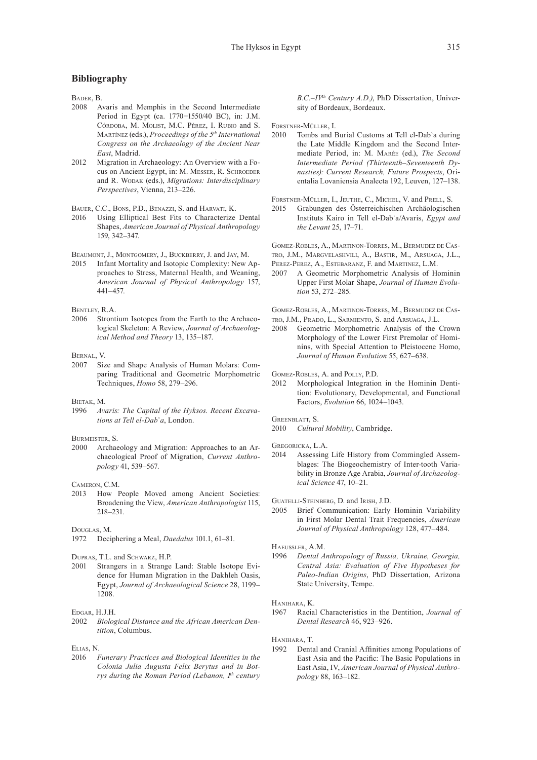# **Bibliography**

BADER, B.<br>2008 A

- Avaris and Memphis in the Second Intermediate Period in Egypt (ca. 1770−1550/40 BC), in: J.M. Córdoba, M. Molist, M.C. Pérez, I. Rubio and S. Martínez (eds.), *Proceedings of the 5th International Congress on the Archaeology of the Ancient Near East*, Madrid.
- 2012 Migration in Archaeology: An Overview with a Focus on Ancient Egypt, in: M. Messer, R. Schroeder and R. Wodak (eds.), *Migrations: Interdisciplinary Perspectives*, Vienna, 213–226.
- Bauer, C.C., Bons, P.D., Benazzi, S. and Harvati, K.
- 2016 Using Elliptical Best Fits to Characterize Dental Shapes, *American Journal of Physical Anthropology* 159, 342–347.

BEAUMONT, J., MONTGOMERY, J., BUCKBERRY, J. and JAY, M.<br>2015 Infant Mortality and Isotopic Complexity: New A

Infant Mortality and Isotopic Complexity: New Approaches to Stress, Maternal Health, and Weaning, *American Journal of Physical Anthropology* 157, 441–457.

Bentley, R.A.

2006 Strontium Isotopes from the Earth to the Archaeological Skeleton: A Review, *Journal of Archaeological Method and Theory* 13, 135–187.

#### Bernal, V.

2007 Size and Shape Analysis of Human Molars: Comparing Traditional and Geometric Morphometric Techniques, *Homo* 58, 279–296.

#### Bietak, M.

1996 *Avaris: The Capital of the Hyksos. Recent Excavations at Tell el-Dabʿa*, London.

# BURMEISTER, S.<br>2000 Archae

Archaeology and Migration: Approaches to an Archaeological Proof of Migration, *Current Anthropology* 41, 539–567.

CAMERON, C.M.

2013 How People Moved among Ancient Societies: Broadening the View, *American Anthropologist* 115, 218–231.

#### Douglas, M.

1972 Deciphering a Meal, *Daedalus* 101.1, 61–81.

Dupras, T.L. and Schwarz, H.P.

2001 Strangers in a Strange Land: Stable Isotope Evidence for Human Migration in the Dakhleh Oasis, Egypt, *Journal of Archaeological Science* 28, 1199– 1208.

# $E<sub>DGAR</sub>, H.J.H.2002 *Riolo*$

Biological Distance and the African American Den*tition*, Columbus.

Elias, N.

2016 *Funerary Practices and Biological Identities in the Colonia Julia Augusta Felix Berytus and in Botrys during the Roman Period (Lebanon, Ith century*  *B.C.–IVth Century A.D.)*, PhD Dissertation, University of Bordeaux, Bordeaux.

FORSTNER-MÜLLER, I.<br>2010 Tombs and 1

Tombs and Burial Customs at Tell el-Dab'a during the Late Middle Kingdom and the Second Intermediate Period, in: M. Marée (ed.), *The Second Intermediate Period (Thirteenth–Seventeenth Dynasties): Current Research, Future Prospects*, Orientalia Lovaniensia Analecta 192, Leuven, 127–138.

FORSTNER-MÜLLER, I., JEUTHE, C., MICHEL, V. and PRELL, S.<br>2015 Grabungen des Österreichischen Archäologisch

2015 Grabungen des Österreichischen Archäologischen Instituts Kairo in Tell el-Dabʿa/Avaris, *Egypt and the Levant* 25, 17–71.

Gomez-Robles, A., Martinon-Torres, M., Bermudez de Castro, J.M., Margvelashvili, A., Bastir, M., Arsuaga, J.L.,

- Perez-Perez, A., Estebaranz, F. and Martinez, L.M.
- 2007 A Geometric Morphometric Analysis of Hominin Upper First Molar Shape, *Journal of Human Evolution* 53, 272–285.

Gomez-Robles, A., Martinon-Torres, M., Bermudez de Castro, J.M., Prado, L., Sarmiento, S. and Arsuaga, J.L.

2008 Geometric Morphometric Analysis of the Crown Morphology of the Lower First Premolar of Hominins, with Special Attention to Pleistocene Homo,

*Journal of Human Evolution* 55, 627–638.

GOMEZ-ROBLES, A. and POLLY, P.D.<br>2012 Mornhological Integration

Morphological Integration in the Hominin Dentition: Evolutionary, Developmental, and Functional Factors, *Evolution* 66, 1024–1043.

GREENBLATT, S.<br>2010 Cultur

**Cultural Mobility**, Cambridge.

Gregoricka, L.A.

2014 Assessing Life History from Commingled Assemblages: The Biogeochemistry of Inter-tooth Variability in Bronze Age Arabia, *Journal of Archaeological Science* 47, 10–21.

Guatelli-Steinberg, D. and Irish, J.D.

2005 Brief Communication: Early Hominin Variability in First Molar Dental Trait Frequencies, *American Journal of Physical Anthropology* 128, 477–484.

Haeussler, A.M.

1996 *Dental Anthropology of Russia, Ukraine, Georgia, Central Asia: Evaluation of Five Hypotheses for Paleo-Indian Origins*, PhD Dissertation, Arizona State University, Tempe.

Hanihara, K.

1967 Racial Characteristics in the Dentition, *Journal of Dental Research* 46, 923–926.

Hanihara, T.

1992 Dental and Cranial Affinities among Populations of East Asia and the Pacific: The Basic Populations in East Asia, IV, *American Journal of Physical Anthropology* 88, 163–182.